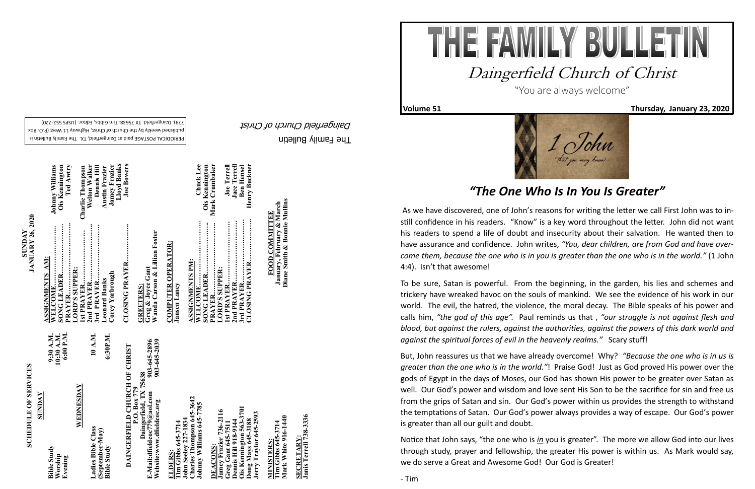The Family Bulletin Daingerfield Church of Christ

## **SCHEDULE OF SERVICES SCHEDULE OF SERVICES**

PERIODICAL POSTAGE paid at Daingerfield, TX. The Family Bulletin is published weekly by the Church of Christ, Highway 11 West (P.O. Box 720) - 779). Daingerfield. TX 75638. Tim Gibbs, Editor. (USPS 552

> "<br>903-645-2896<br>903-645-2039 **Website:www.dfieldcoc.org 903-645-2039 E-Mail:dfieldcoc779@aol.com 903-645-2896 Daingerfield, TX 75638**

**Charles Thompson 645-3642 Johnny Williams 645-7785**  s Thompson 645<br>Villiams 645-7 **John Seeley 227-1834**  645-3714<br>v 227-1834 **Tim Gibbs 645-3714**  hn Seel<br>arles T Johnny  $ohn$ 

| SUNDAY                                   |                                      |
|------------------------------------------|--------------------------------------|
| <b>Bible Study</b><br>Worship<br>Evening | 10:30 A.M.<br>6:00 P.M.<br>9:30 A.M. |
| WEDNESDAY                                |                                      |
| Ladies Bible Class                       | 10 A.M.                              |
| (September-May)<br><b>Bible Study</b>    | 6:30P.M.                             |

# **DAINGERFIELD CHURCH OF CHRIST**<br>P.O. Box 779<br>Bail:dfieldcoc779@aol.com 903-645-289<br>Website:www.dfieldcoc.org 903-645-203 **DAINGERFIELD CHURCH OF CHRIST DAINGERFIELD**

#### **Ois Kennington 563-3701 Jamey Frazier 736-2116 Jerry Traylor 645-2593 Greg Gant 645-7511 Dennis Hill 918-9144 Doug Mays 645-3188** oug Mays 645-31<br>erry Traylor 645-**DEACONS:**  nnis

**Tim Gibbs 645-3714**<br>Mark White 916-1440 **Mark White 916-1440 Tim Gibbs 645-3714 MINISTERS: AINISTERS** 

## **ELDERS:**

**Wanda Carson & Lillian Foster**  Greg & Joyce Gant<br>Wanda Carson & Lillian Foster **Greg & Joyce Gant** 히

**COMPUTER OPERATOR: COMPUTER OPERATOR: Jansen Laney**

**January, February & March<br>Diane Smith & Bonnie Mullins Diane Smith & Bonnie Mullins January, February & March FOOD COMMITTEE FOOD COMMITTEE**

**SECRETARY:**

**Janis Terrell 738-3336**

SECRETARY:<br>Janis Terrell 738-3336

**JANUARY 26, 2020** 

ی کی گ

| ASSIGNMENTS AM:      |                        |
|----------------------|------------------------|
|                      | <b>Johnny Williams</b> |
| <b>SONG LEADER</b>   | <b>Ois Kennington</b>  |
|                      | Ted Awtry              |
| LORD'S SUPPER:       |                        |
| 1st PRAYER           | Charlie Thompson       |
|                      | <b>Welton Walker</b>   |
| 3rd PRAYER           | <b>Dennis Hill</b>     |
| <b>Leonard Banks</b> | <b>Austin Frazier</b>  |
| Corey Yarbrough      | <b>Jamey Frazier</b>   |
|                      | <b>Lloyd Banks</b>     |
| CLOSING PRAYER       | <b>Joe Bowers</b>      |
| <b>GREETERS:</b>     |                        |

 $\overline{\phantom{a}}$ 

 $\overline{\phantom{a}}$ 

| <b>ASSIGNMENTS PM:</b><br>LORD'S SUPPER: | <b>Chuck</b> Lee<br><b>Ois Kennington</b><br>Mark Crumbaker<br><b>Joe Terrell</b> |
|------------------------------------------|-----------------------------------------------------------------------------------|
|                                          | <b>Jace Terrell</b>                                                               |
|                                          | <b>Ben Hensel</b>                                                                 |
| 2nd PRAYER                               | Henry Buckner                                                                     |



**Volume 51 Thursday, January 23, 2020** 



### *"The One Who Is In You Is Greater"*

As we have discovered, one of John's reasons for writing the letter we call First John was to instill confidence in his readers. "Know" is a key word throughout the letter. John did not want his readers to spend a life of doubt and insecurity about their salvation. He wanted then to have assurance and confidence. John writes, *"You, dear children, are from God and have overcome them, because the one who is in you is greater than the one who is in the world."* (1 John 4:4). Isn't that awesome!

To be sure, Satan is powerful. From the beginning, in the garden, his lies and schemes and trickery have wreaked havoc on the souls of mankind. We see the evidence of his work in our world. The evil, the hatred, the violence, the moral decay. The Bible speaks of his power and calls him, *"the god of this age".* Paul reminds us that , *"our struggle is not against flesh and blood, but against the rulers, against the authorities, against the powers of this dark world and against the spiritual forces of evil in the heavenly realms."* Scary stuff!

But, John reassures us that we have already overcome! Why? *"Because the one who is in us is greater than the one who is in the world."*! Praise God! Just as God proved His power over the gods of Egypt in the days of Moses, our God has shown His power to be greater over Satan as well. Our God's power and wisdom and love sent His Son to be the sacrifice for sin and free us from the grips of Satan and sin. Our God's power within us provides the strength to withstand the temptations of Satan. Our God's power always provides a way of escape. Our God's power is greater than all our guilt and doubt.

Notice that John says, "the one who is *in* you is greater". The more we allow God into our lives through study, prayer and fellowship, the greater His power is within us. As Mark would say, we do serve a Great and Awesome God! Our God is Greater!

- Tim

**SUNDAY<br>JANUARY 26, 2020**